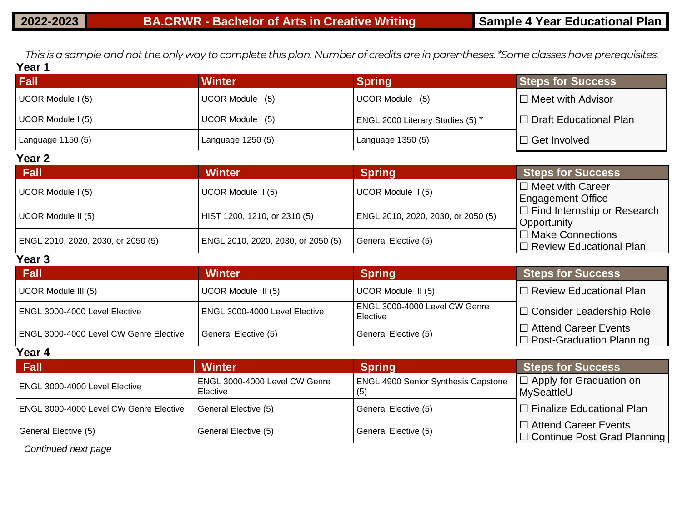*This is a sample and not the only way to complete this plan. Number of credits are in parentheses. \*Some classes have prerequisites.* **Year 1**

| <b>Fall</b>        | <b>Winter</b>                | <b>Spring</b>                      | <b>Steps for Success</b>                            |
|--------------------|------------------------------|------------------------------------|-----------------------------------------------------|
| UCOR Module I (5)  | UCOR Module I (5)            | UCOR Module I (5)                  | $\Box$ Meet with Advisor                            |
| UCOR Module I (5)  | UCOR Module I (5)            | ENGL 2000 Literary Studies (5) *   | $\Box$ Draft Educational Plan                       |
| Language 1150 (5)  | Language 1250 (5)            | Language 1350 (5)                  | $\Box$ Get Involved                                 |
| Year 2             |                              |                                    |                                                     |
| Fall               | <b>Winter</b>                | <b>Spring</b>                      | <b>Steps for Success</b>                            |
| UCOR Module I (5)  | UCOR Module II (5)           | UCOR Module II (5)                 | $\Box$ Meet with Career<br><b>Engagement Office</b> |
| UCOR Module II (5) | HIST 1200, 1210, or 2310 (5) | ENGL 2010, 2020, 2030, or 2050 (5) | $\Box$ Find Internship or Research                  |

| <b>Fall</b>                        | <b>Winter</b>                      | <b>Spring</b>                      | <b>Steps for Success</b>                             |
|------------------------------------|------------------------------------|------------------------------------|------------------------------------------------------|
| UCOR Module I (5)                  | UCOR Module II (5)                 | UCOR Module II (5)                 | $\Box$ Meet with Career<br><b>Engagement Office</b>  |
| UCOR Module II (5)                 | HIST 1200, 1210, or 2310 (5)       | ENGL 2010, 2020, 2030, or 2050 (5) | $\Box$ Find Internship or Research<br>Opportunity    |
| ENGL 2010, 2020, 2030, or 2050 (5) | ENGL 2010, 2020, 2030, or 2050 (5) | General Elective (5)               | □ Make Connections<br>$\Box$ Review Educational Plan |
| Year <sub>3</sub>                  |                                    |                                    |                                                      |

| Fall                                   | <b>Winter</b>                 | <b>Spring</b>                               | <b>Steps for Success</b>                                       |  |  |
|----------------------------------------|-------------------------------|---------------------------------------------|----------------------------------------------------------------|--|--|
| UCOR Module III (5)                    | UCOR Module III (5)           | UCOR Module III (5)                         | $\Box$ Review Educational Plan                                 |  |  |
| ENGL 3000-4000 Level Elective          | ENGL 3000-4000 Level Elective | ENGL 3000-4000 Level CW Genre<br>l Elective | □ Consider Leadership Role                                     |  |  |
| ENGL 3000-4000 Level CW Genre Elective | General Elective (5)          | General Elective (5)                        | $\Box$ Attend Career Events<br>$\Box$ Post-Graduation Planning |  |  |

**Year 4**

| Fall                                   | <b>Winter</b>                             | <b>Spring</b>                              | <b>Steps for Success</b>                                 |
|----------------------------------------|-------------------------------------------|--------------------------------------------|----------------------------------------------------------|
| ENGL 3000-4000 Level Elective          | ENGL 3000-4000 Level CW Genre<br>Elective | <b>ENGL 4900 Senior Synthesis Capstone</b> | $\Box$ Apply for Graduation on<br>MySeattleU             |
| ENGL 3000-4000 Level CW Genre Elective | General Elective (5)                      | General Elective (5)                       | $\Box$ Finalize Educational Plan                         |
| General Elective (5)                   | General Elective (5)                      | General Elective (5)                       | □ Attend Career Events<br> □ Continue Post Grad Planning |

*Continued next page*